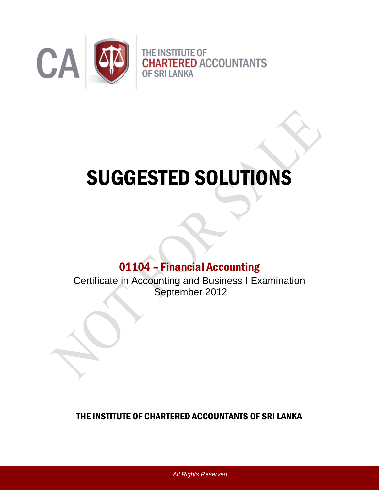

# SUGGESTED SOLUTIONS

# 01104 – Financial Accounting

Certificate in Accounting and Business I Examination September 2012

## THE INSTITUTE OF CHARTERED ACCOUNTANTS OF SRI LANKA

*All Rights Reserved*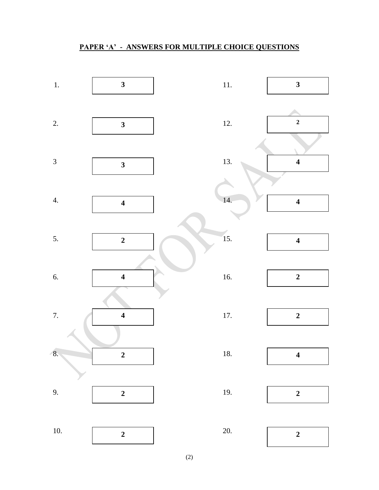### **PAPER 'A' - ANSWERS FOR MULTIPLE CHOICE QUESTIONS**

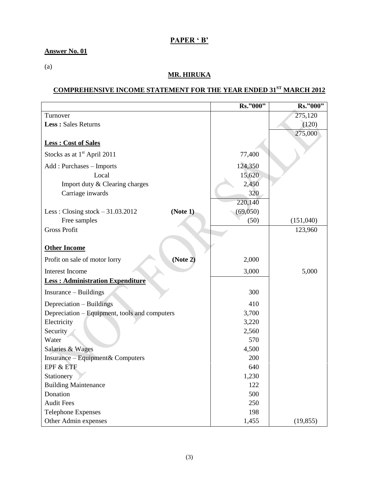### **PAPER ' B'**

### **Answer No. 01**

(a)

### **MR. HIRUKA**

## **COMPREHENSIVE INCOME STATEMENT FOR THE YEAR ENDED 31ST MARCH 2012**

|                                               | Rs."000" | Rs."000"  |
|-----------------------------------------------|----------|-----------|
| Turnover                                      |          | 275,120   |
| Less: Sales Returns                           |          | (120)     |
|                                               |          | 275,000   |
| <b>Less: Cost of Sales</b>                    |          |           |
| Stocks as at $1st$ April 2011                 | 77,400   |           |
| Add: Purchases - Imports                      | 124,350  |           |
| Local                                         | 15,620   |           |
| Import duty & Clearing charges                | 2,450    |           |
| Carriage inwards                              | 320      |           |
|                                               | 220,140  |           |
| Less: Closing stock $-31.03.2012$<br>(Note 1) | (69,050) |           |
| Free samples                                  | (50)     | (151,040) |
| <b>Gross Profit</b>                           |          | 123,960   |
|                                               |          |           |
| <b>Other Income</b>                           |          |           |
| (Note 2)<br>Profit on sale of motor lorry     | 2,000    |           |
| <b>Interest Income</b>                        | 3,000    | 5,000     |
| <b>Less: Administration Expenditure</b>       |          |           |
| Insurance – Buildings                         | 300      |           |
| Depreciation - Buildings                      | 410      |           |
| Depreciation – Equipment, tools and computers | 3,700    |           |
| Electricity                                   | 3,220    |           |
| Security                                      | 2,560    |           |
| Water                                         | 570      |           |
| Salaries & Wages                              | 4,500    |           |
| Insurance – Equipment & Computers             | 200      |           |
| EPF & ETF                                     | 640      |           |
| Stationery                                    | 1,230    |           |
| <b>Building Maintenance</b>                   | 122      |           |
| Donation                                      | 500      |           |
| <b>Audit Fees</b>                             | 250      |           |
| <b>Telephone Expenses</b>                     | 198      |           |
| Other Admin expenses                          | 1,455    | (19, 855) |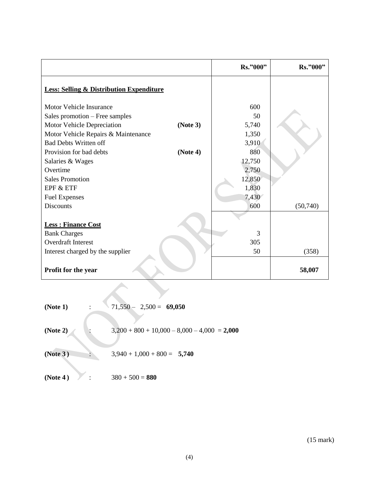|                                                     |          | Rs."000" | Rs."000" |
|-----------------------------------------------------|----------|----------|----------|
| <b>Less: Selling &amp; Distribution Expenditure</b> |          |          |          |
| <b>Motor Vehicle Insurance</b>                      |          | 600      |          |
| Sales promotion – Free samples                      |          | 50       |          |
| Motor Vehicle Depreciation                          | (Note 3) | 5,740    |          |
| Motor Vehicle Repairs & Maintenance                 |          | 1,350    |          |
| <b>Bad Debts Written off</b>                        |          | 3,910    |          |
| Provision for bad debts                             | (Note 4) | 880      |          |
| Salaries & Wages                                    |          | 12,750   |          |
| Overtime                                            |          | 2,750    |          |
| <b>Sales Promotion</b>                              |          | 12,850   |          |
| EPF & ETF                                           |          | 1,830    |          |
| <b>Fuel Expenses</b>                                |          | 7,430    |          |
| <b>Discounts</b>                                    |          | 600      | (50,740) |
|                                                     |          |          |          |
| <b>Less: Finance Cost</b>                           |          |          |          |
| <b>Bank Charges</b>                                 |          | 3        |          |
| Overdraft Interest                                  |          | 305      |          |
| Interest charged by the supplier                    |          | 50       | (358)    |
| Profit for the year                                 |          |          | 58,007   |

| (Note 1) | $71,550 - 2,500 = 69,050$                      |
|----------|------------------------------------------------|
| (Note 2) | $3,200 + 800 + 10,000 - 8,000 - 4,000 = 2,000$ |
| (Note 3) | $3,940 + 1,000 + 800 = 5,740$                  |
| (Note 4) | $380 + 500 = 880$                              |

 $\longleftrightarrow$ 

(15 mark)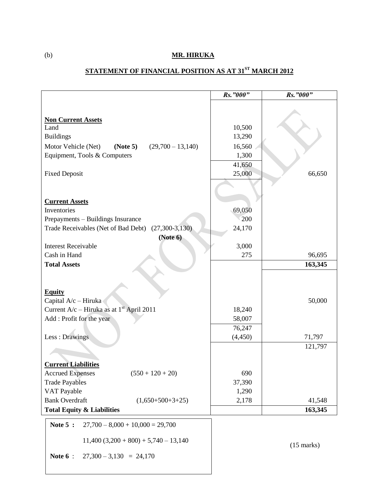### (b) **MR. HIRUKA**

# **STATEMENT OF FINANCIAL POSITION AS AT 31ST MARCH 2012**

|                                                         | Rs. "000"        | Rs. "000"    |
|---------------------------------------------------------|------------------|--------------|
|                                                         |                  |              |
|                                                         |                  |              |
| <b>Non Current Assets</b><br>Land                       | 10,500           |              |
| <b>Buildings</b>                                        | 13,290           |              |
| Motor Vehicle (Net)<br>$(29,700 - 13,140)$<br>(Note 5)  | 16,560           |              |
| Equipment, Tools & Computers                            | 1,300            |              |
|                                                         | 41,650           |              |
| <b>Fixed Deposit</b>                                    | 25,000           | 66,650       |
|                                                         |                  |              |
|                                                         |                  |              |
| <b>Current Assets</b>                                   |                  |              |
| Inventories                                             | 69,050           |              |
| Prepayments - Buildings Insurance                       | 200              |              |
| Trade Receivables (Net of Bad Debt)<br>$(27,300-3,130)$ | 24,170           |              |
| (Note 6)                                                |                  |              |
| <b>Interest Receivable</b>                              | 3,000            |              |
| Cash in Hand                                            | 275              | 96,695       |
| <b>Total Assets</b>                                     |                  | 163,345      |
|                                                         |                  |              |
|                                                         |                  |              |
| <b>Equity</b>                                           |                  |              |
| Capital A/c - Hiruka                                    |                  | 50,000       |
| Current $A/c$ – Hiruka as at $1st$ April 2011           | 18,240           |              |
| Add : Profit for the year                               | 58,007<br>76,247 |              |
| Less : Drawings                                         | (4, 450)         | 71,797       |
|                                                         |                  | 121,797      |
|                                                         |                  |              |
| <b>Current Liabilities</b>                              |                  |              |
| <b>Accrued Expenses</b><br>$(550 + 120 + 20)$           | 690              |              |
| <b>Trade Payables</b>                                   | 37,390           |              |
| VAT Payable                                             | 1,290            |              |
| <b>Bank Overdraft</b><br>$(1,650+500+3+25)$             | 2,178            | 41,548       |
| <b>Total Equity &amp; Liabilities</b>                   |                  | 163,345      |
| Note 5 :<br>$27,700 - 8,000 + 10,000 = 29,700$          |                  |              |
|                                                         |                  |              |
| $11,400$ (3,200 + 800) + 5,740 - 13,140                 |                  |              |
|                                                         |                  | $(15$ marks) |
| Note $6:$<br>$27,300 - 3,130 = 24,170$                  |                  |              |
|                                                         |                  |              |
|                                                         |                  |              |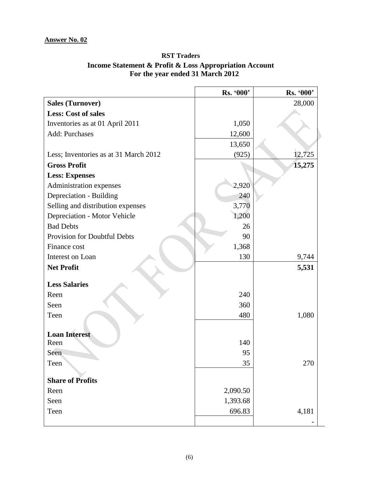### **RST Traders Income Statement & Profit & Loss Appropriation Account For the year ended 31 March 2012**

|                                       | Rs. '000' | Rs. '000' |
|---------------------------------------|-----------|-----------|
| <b>Sales (Turnover)</b>               |           | 28,000    |
| <b>Less: Cost of sales</b>            |           |           |
| Inventories as at 01 April 2011       | 1,050     |           |
| <b>Add: Purchases</b>                 | 12,600    |           |
|                                       | 13,650    |           |
| Less; Inventories as at 31 March 2012 | (925)     | 12,725    |
| <b>Gross Profit</b>                   |           | 15,275    |
| <b>Less: Expenses</b>                 |           |           |
| Administration expenses               | 2,920     |           |
| Depreciation - Building               | 240       |           |
| Selling and distribution expenses     | 3,770     |           |
| Depreciation - Motor Vehicle          | 1,200     |           |
| <b>Bad Debts</b>                      | 26        |           |
| Provision for Doubtful Debts          | 90        |           |
| Finance cost                          | 1,368     |           |
| Interest on Loan                      | 130       | 9,744     |
| <b>Net Profit</b>                     |           | 5,531     |
| <b>Less Salaries</b>                  |           |           |
| Reen                                  | 240       |           |
| Seen                                  | 360       |           |
| Teen                                  | 480       | 1,080     |
|                                       |           |           |
| <b>Loan Interest</b>                  |           |           |
| Reen                                  | 140       |           |
| Seen                                  | 95        |           |
| Teen                                  | 35        | 270       |
| <b>Share of Profits</b>               |           |           |
| Reen                                  | 2,090.50  |           |
| Seen                                  | 1,393.68  |           |
| Teen                                  | 696.83    | 4,181     |
|                                       |           |           |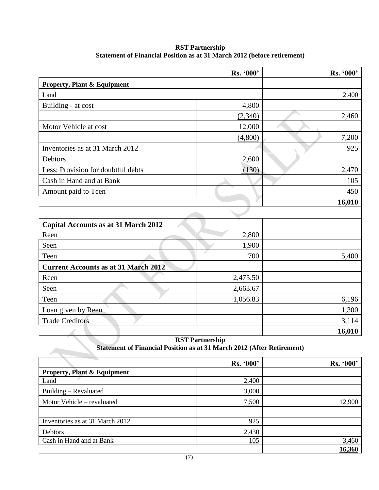|                                             | Rs. '000' | Rs. '000' |
|---------------------------------------------|-----------|-----------|
| <b>Property, Plant &amp; Equipment</b>      |           |           |
| Land                                        |           | 2,400     |
| Building - at cost                          | 4,800     |           |
|                                             | (2,340)   | 2,460     |
| Motor Vehicle at cost                       | 12,000    |           |
|                                             | (4,800)   | 7,200     |
| Inventories as at 31 March 2012             |           | 925       |
| Debtors                                     | 2,600     |           |
| Less; Provision for doubtful debts          | (130)     | 2,470     |
| Cash in Hand and at Bank                    |           | 105       |
| Amount paid to Teen                         |           | 450       |
|                                             |           | 16,010    |
|                                             |           |           |
| <b>Capital Accounts as at 31 March 2012</b> |           |           |
| Reen                                        | 2,800     |           |
| Seen                                        | 1,900     |           |
| Teen                                        | 700       | 5,400     |
| <b>Current Accounts as at 31 March 2012</b> |           |           |
| Reen                                        | 2,475.50  |           |
| Seen                                        | 2,663.67  |           |
| Teen                                        | 1,056.83  | 6,196     |
| Loan given by Reen                          |           | 1,300     |
| <b>Trade Creditors</b>                      |           | 3,114     |
|                                             |           | 16,010    |

#### **RST Partnership Statement of Financial Position as at 31 March 2012 (before retirement)**

**RST Partnership Statement of Financial Position as at 31 March 2012 (After Retirement)**

|                                        | Rs. '000' | Rs. '000' |
|----------------------------------------|-----------|-----------|
| <b>Property, Plant &amp; Equipment</b> |           |           |
| Land                                   | 2,400     |           |
| Building – Revaluated                  | 3,000     |           |
| Motor Vehicle - revaluated             | 7,500     | 12,900    |
|                                        |           |           |
| Inventories as at 31 March 2012        | 925       |           |
| Debtors                                | 2,430     |           |
| Cash in Hand and at Bank               | 105       | 3,460     |
|                                        |           | 16,360    |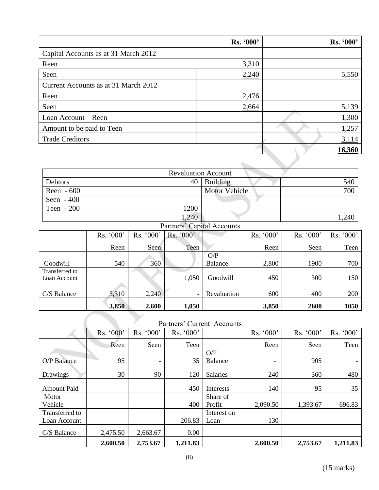|                                      | Rs. '000' | Rs. '000' |
|--------------------------------------|-----------|-----------|
| Capital Accounts as at 31 March 2012 |           |           |
| Reen                                 | 3,310     |           |
| Seen                                 | 2,240     | 5,550     |
| Current Accounts as at 31 March 2012 |           |           |
| Reen                                 | 2,476     |           |
| Seen                                 | 2,664     | 5,139     |
| Loan Account – Reen                  |           | 1,300     |
| Amount to be paid to Teen            |           | 1,257     |
| <b>Trade Creditors</b>               |           | 3,114     |
|                                      |           | 16,360    |

|             | <b>Revaluation Account</b> |                      |       |
|-------------|----------------------------|----------------------|-------|
| Debtors     |                            | $40$ Building        | 540   |
| Reen $-600$ |                            | <b>Motor Vehicle</b> | 700   |
| Seen $-400$ |                            |                      |       |
| Teen $-200$ | 1200                       |                      |       |
|             | 1,240                      |                      | 1,240 |
|             | Partners' Capital Accounts |                      |       |

| raturels Capital Accounts                          |           |           |                          |             |           |           |           |
|----------------------------------------------------|-----------|-----------|--------------------------|-------------|-----------|-----------|-----------|
|                                                    | Rs. '000' | Rs. '000' | Rs. '000'                |             | Rs. '000' | Rs. '000' | Rs. '000' |
|                                                    | Reen      | Seen      | Teen                     |             | Reen      | Seen      | Teen      |
|                                                    |           |           |                          | O/P         |           |           |           |
| Goodwill                                           | 540       | 360       |                          | Balance     | 2,800     | 1900      | 700       |
| Transferred to                                     |           |           |                          |             |           |           |           |
| Loan Account                                       |           |           | 1,050                    | Goodwill    | 450       | 300       | 150       |
|                                                    |           |           |                          |             |           |           |           |
| C/S Balance                                        | 3,310     | 2,240     | $\overline{\phantom{a}}$ | Revaluation | 600       | 400       | 200       |
|                                                    | 3,850     | 2,600     | 1,050                    |             | 3,850     | 2600      | 1050      |
| $\mathbf{D}$ ortnara <sup>?</sup> Currant Agogunta |           |           |                          |             |           |           |           |

### Partners' Current Accounts

|                    | Rs. '000' | Rs. '000' | Rs. '000' |             | Rs. '000'                | Rs. '000' | Rs. '000' |
|--------------------|-----------|-----------|-----------|-------------|--------------------------|-----------|-----------|
|                    | Reen      | Seen      | Teen      |             | Reen                     | Seen      | Teen      |
|                    |           |           |           | O/P         |                          |           |           |
| O/P Balance        | 95        | -         | 35        | Balance     | $\overline{\phantom{a}}$ | 905       |           |
| Drawings           | 30        | 90        | 120       | Salaries    | 240                      | 360       | 480       |
| <b>Amount Paid</b> |           |           | 450       | Interests   | 140                      | 95        | 35        |
| Motor              |           |           |           | Share of    |                          |           |           |
| Vehicle            |           |           | 400       | Profit      | 2,090.50                 | 1,393.67  | 696.83    |
| Transferred to     |           |           |           | Interest on |                          |           |           |
| Loan Account       |           |           | 206.83    | Loan        | 130                      |           |           |
| C/S Balance        | 2,475.50  | 2,663.67  | 0.00      |             |                          |           |           |
|                    | 2,600.50  | 2,753.67  | 1,211.83  |             | 2,600.50                 | 2,753.67  | 1,211.83  |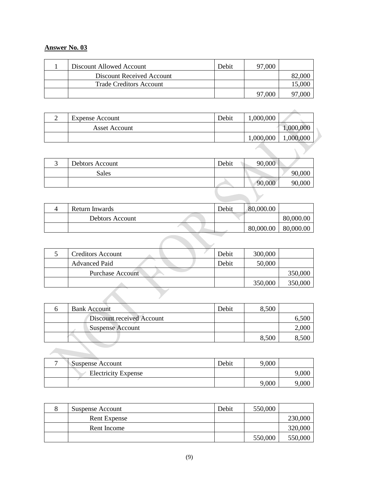### **Answer No. 03**

**All Contracts** 

| Discount Allowed Account       | Debit | 97,000 |  |
|--------------------------------|-------|--------|--|
| Discount Received Account      |       |        |  |
| <b>Trade Creditors Account</b> |       |        |  |
|                                |       | 97,000 |  |

| ∸      | <b>Expense Account</b> | Debit                     | 1,000,000 |           |
|--------|------------------------|---------------------------|-----------|-----------|
|        | Asset Account          |                           |           | 1,000,000 |
|        |                        |                           | 1,000,000 | 1,000,000 |
|        |                        |                           |           |           |
| $\sim$ | $\sim$ $\sim$          | $\mathbf{r}$ $\mathbf{r}$ | 00.000    |           |

| $\sqrt{2}$<br>ت | Debtors Account | Debit | 90,000 |        |
|-----------------|-----------------|-------|--------|--------|
|                 | Sales           |       |        | 90,000 |
|                 |                 |       | 90,000 | 90,000 |
|                 |                 |       |        |        |

| Return Inwards  | Debit | 80,000.00 |           |
|-----------------|-------|-----------|-----------|
| Debtors Account |       |           | 80,000.00 |
|                 |       | 80,000.00 | 80,000.00 |

| <b>Creditors Account</b> | Debit | 300,000 |         |
|--------------------------|-------|---------|---------|
| <b>Advanced Paid</b>     | Debit | 50,000  |         |
| <b>Purchase Account</b>  |       |         | 350,000 |
|                          |       | 350,000 | 350,000 |
|                          |       |         |         |

| <b>Bank Account</b>       | Debit | 8,500 |  |
|---------------------------|-------|-------|--|
| Discount received Account |       |       |  |
| Suspense Account          |       |       |  |
|                           |       | 8,500 |  |

| – | Suspense Account           | Debit | 9,000 |  |
|---|----------------------------|-------|-------|--|
|   | <b>Electricity Expense</b> |       |       |  |
|   |                            |       | 9,000 |  |

| Suspense Account | Debit | 550,000 |         |
|------------------|-------|---------|---------|
| Rent Expense     |       |         | 230,000 |
| Rent Income      |       |         | 320,000 |
|                  |       | 550,000 | 550,000 |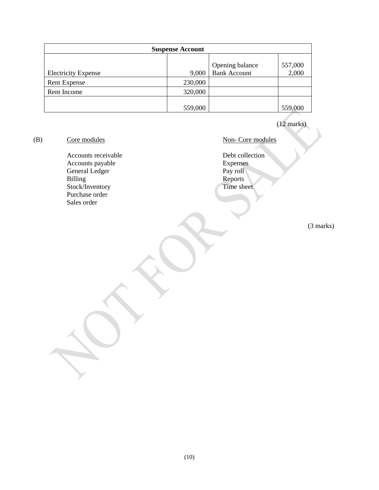| <b>Suspense Account</b>    |         |                     |         |  |  |
|----------------------------|---------|---------------------|---------|--|--|
|                            |         | Opening balance     | 557,000 |  |  |
| <b>Electricity Expense</b> | 9,000   | <b>Bank Account</b> | 2,000   |  |  |
| <b>Rent Expense</b>        | 230,000 |                     |         |  |  |
| Rent Income                | 320,000 |                     |         |  |  |
|                            | 559,000 |                     | 559,000 |  |  |

(12 marks)

(B) Core modules Non- Core modules

Accounts receivable<br>
Accounts payable<br>
Accounts payable<br>
Debt collection<br>
Expenses Accounts payable<br>
General Ledger<br>
Pay roll General Ledger<br>Billing Stock/Inventory Purchase order Sales order

Reports<br>Time sheet

(3 marks)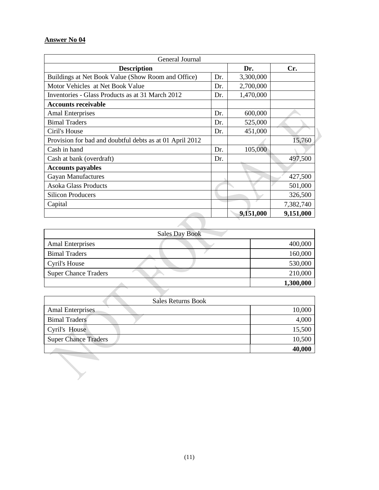### **Answer No 04**

| General Journal                                          |     |           |           |
|----------------------------------------------------------|-----|-----------|-----------|
| <b>Description</b>                                       |     | Dr.       | Cr.       |
| Buildings at Net Book Value (Show Room and Office)       | Dr. | 3,300,000 |           |
| Motor Vehicles at Net Book Value                         | Dr. | 2,700,000 |           |
| Inventories - Glass Products as at 31 March 2012         | Dr. | 1,470,000 |           |
| <b>Accounts receivable</b>                               |     |           |           |
| <b>Amal Enterprises</b>                                  | Dr. | 600,000   |           |
| <b>Bimal Traders</b>                                     | Dr. | 525,000   |           |
| Ciril's House                                            | Dr. | 451,000   |           |
| Provision for bad and doubtful debts as at 01 April 2012 |     |           | 15,760    |
| Cash in hand                                             | Dr. | 105,000   |           |
| Cash at bank (overdraft)                                 | Dr. |           | 497,500   |
| <b>Accounts payables</b>                                 |     |           |           |
| <b>Gayan Manufactures</b>                                |     |           | 427,500   |
| <b>Asoka Glass Products</b>                              |     |           | 501,000   |
| <b>Silicon Producers</b>                                 |     |           | 326,500   |
| Capital                                                  |     |           | 7,382,740 |
|                                                          |     | 9,151,000 | 9,151,000 |
|                                                          |     |           |           |

 $\blacktriangleright$ 

| <b>Sales Day Book</b>       |           |
|-----------------------------|-----------|
| <b>Amal Enterprises</b>     | 400,000   |
| <b>Bimal Traders</b>        | 160,000   |
| Cyril's House               | 530,000   |
| <b>Super Chance Traders</b> | 210,000   |
|                             | 1,300,000 |

| Sales Returns Book          |        |
|-----------------------------|--------|
| <b>Amal Enterprises</b>     | 10,000 |
| <b>Bimal Traders</b>        | 4,000  |
| Cyril's House               | 15,500 |
| <b>Super Chance Traders</b> | 10,500 |
|                             | 40,000 |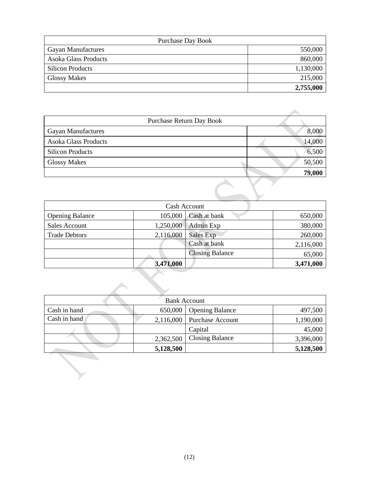| <b>Purchase Day Book</b>  |           |
|---------------------------|-----------|
| <b>Gayan Manufactures</b> | 550,000   |
| Asoka Glass Products      | 860,000   |
| <b>Silicon Products</b>   | 1,130,000 |
| <b>Glossy Makes</b>       | 215,000   |
|                           | 2,755,000 |

|                             | Purchase Return Day Book |
|-----------------------------|--------------------------|
| <b>Gayan Manufactures</b>   | 8,000                    |
| <b>Asoka Glass Products</b> | 14,000                   |
| <b>Silicon Products</b>     | 6,500                    |
| <b>Glossy Makes</b>         | 50,500                   |
|                             | 79,000                   |
|                             |                          |

| Cash Account           |           |                        |           |
|------------------------|-----------|------------------------|-----------|
| <b>Opening Balance</b> | 105,000   | Cash at bank           | 650,000   |
| <b>Sales Account</b>   | 1,250,000 | Admin Exp              | 380,000   |
| <b>Trade Debtors</b>   | 2,116,000 | Sales Exp              | 260,000   |
|                        |           | Cash at bank           | 2,116,000 |
|                        |           | <b>Closing Balance</b> | 65,000    |
|                        | 3,471,000 |                        | 3,471,000 |

| <b>Bank Account</b> |           |                         |           |
|---------------------|-----------|-------------------------|-----------|
| Cash in hand        | 650,000   | <b>Opening Balance</b>  | 497,500   |
| Cash in hand        | 2,116,000 | <b>Purchase Account</b> | 1,190,000 |
|                     |           | Capital                 | 45,000    |
|                     | 2,362,500 | Closing Balance         | 3,396,000 |
|                     | 5,128,500 |                         | 5,128,500 |

 $\blacktriangle$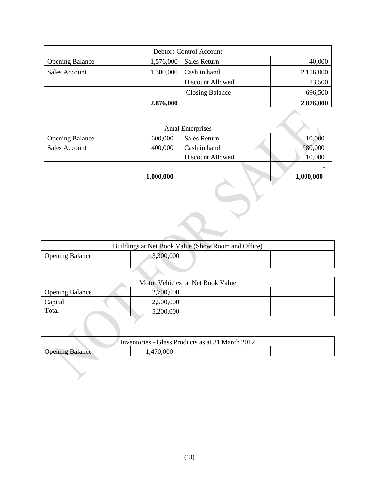|                        |           | <b>Debtors Control Account</b> |           |
|------------------------|-----------|--------------------------------|-----------|
| <b>Opening Balance</b> | 1,576,000 | Sales Return                   | 40,000    |
| Sales Account          | 1,300,000 | Cash in hand                   | 2,116,000 |
|                        |           | Discount Allowed               | 23,500    |
|                        |           | <b>Closing Balance</b>         | 696,500   |
|                        | 2,876,000 |                                | 2,876,000 |

|                        |           | <b>Amal Enterprises</b> |           |
|------------------------|-----------|-------------------------|-----------|
| <b>Opening Balance</b> | 600,000   | Sales Return            | 10,000    |
| Sales Account          | 400,000   | Cash in hand            | 980,000   |
|                        |           | Discount Allowed        | 10,000    |
|                        |           |                         |           |
|                        | 1,000,000 |                         | 1,000,000 |

| Buildings at Net Book Value (Show Room and Office) |  |  |  |
|----------------------------------------------------|--|--|--|
| 3,300,000<br>Opening Balance                       |  |  |  |
|                                                    |  |  |  |

| Motor Vehicles at Net Book Value |           |  |  |
|----------------------------------|-----------|--|--|
| <b>Opening Balance</b>           | 2,700,000 |  |  |
| Capital                          | 2,500,000 |  |  |
| Total                            | 5,200,000 |  |  |

|                                                  | $J_{\bullet} \omega V_{\bullet} V_{\bullet} V_{\bullet} V_{\bullet}$ |  |  |
|--------------------------------------------------|----------------------------------------------------------------------|--|--|
|                                                  |                                                                      |  |  |
| Inventories - Glass Products as at 31 March 2012 |                                                                      |  |  |
| <b>Opening Balance</b>                           | 1,470,000                                                            |  |  |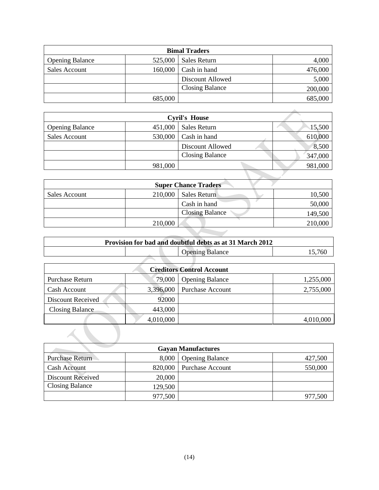| <b>Bimal Traders</b>   |         |                        |         |
|------------------------|---------|------------------------|---------|
| <b>Opening Balance</b> | 525,000 | Sales Return           | 4,000   |
| Sales Account          | 160,000 | Cash in hand           | 476,000 |
|                        |         | Discount Allowed       | 5,000   |
|                        |         | <b>Closing Balance</b> | 200,000 |
|                        | 685,000 |                        | 685,000 |

|                        |         | <b>Cyril's House</b>   |         |
|------------------------|---------|------------------------|---------|
| <b>Opening Balance</b> | 451,000 | Sales Return           | 15,500  |
| <b>Sales Account</b>   |         | $530,000$ Cash in hand | 610,000 |
|                        |         | Discount Allowed       | 8,500   |
|                        |         | <b>Closing Balance</b> | 347,000 |
|                        | 981,000 |                        | 981,000 |

|               | <b>701,000</b> |                             | <b>701,000</b> |
|---------------|----------------|-----------------------------|----------------|
|               |                |                             |                |
|               |                | <b>Super Chance Traders</b> |                |
| Sales Account | 210,000        | <b>Sales Return</b>         | 10,500         |
|               |                | Cash in hand                | 50,000         |
|               |                | <b>Closing Balance</b>      | 149,500        |
|               | 210,000        |                             | 210,000        |

| Provision for bad and doubtful debts as at 31 March 2012 |  |  |  |
|----------------------------------------------------------|--|--|--|
| <b>Opening Balance</b><br>- 760                          |  |  |  |
|                                                          |  |  |  |

| <b>Creditors Control Account</b> |           |                         |           |  |
|----------------------------------|-----------|-------------------------|-----------|--|
| Purchase Return                  | 79,000    | <b>Opening Balance</b>  | 1,255,000 |  |
| Cash Account                     | 3,396,000 | <b>Purchase Account</b> | 2,755,000 |  |
| <b>Discount Received</b>         | 92000     |                         |           |  |
| <b>Closing Balance</b>           | 443,000   |                         |           |  |
|                                  | 4,010,000 |                         | 4,010,000 |  |
|                                  |           |                         |           |  |

| <b>Gayan Manufactures</b> |         |                         |         |  |  |
|---------------------------|---------|-------------------------|---------|--|--|
| <b>Purchase Return</b>    | 8,000   | <b>Opening Balance</b>  | 427,500 |  |  |
| <b>Cash Account</b>       | 820,000 | <b>Purchase Account</b> | 550,000 |  |  |
| <b>Discount Received</b>  | 20,000  |                         |         |  |  |
| <b>Closing Balance</b>    | 129,500 |                         |         |  |  |
|                           | 977,500 |                         | 977,500 |  |  |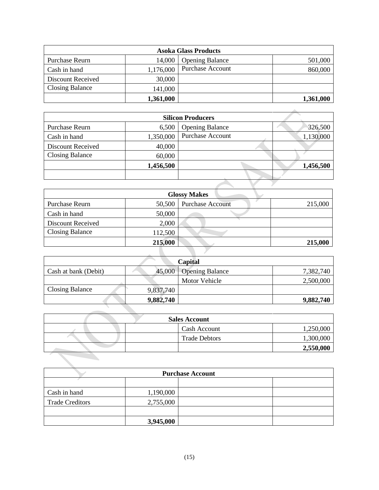| <b>Asoka Glass Products</b> |           |                         |           |  |
|-----------------------------|-----------|-------------------------|-----------|--|
| Purchase Reurn              | 14,000    | <b>Opening Balance</b>  | 501,000   |  |
| Cash in hand                | 1,176,000 | <b>Purchase Account</b> | 860,000   |  |
| Discount Received           | 30,000    |                         |           |  |
| <b>Closing Balance</b>      | 141,000   |                         |           |  |
|                             | 1,361,000 |                         | 1,361,000 |  |

|                          |           | <b>Silicon Producers</b> |  |           |
|--------------------------|-----------|--------------------------|--|-----------|
| Purchase Reurn           | 6,500     | <b>Opening Balance</b>   |  | 326,500   |
| Cash in hand             | 1,350,000 | Purchase Account         |  | 1,130,000 |
| <b>Discount Received</b> | 40,000    |                          |  |           |
| <b>Closing Balance</b>   | 60,000    |                          |  |           |
|                          | 1,456,500 |                          |  | 1,456,500 |
|                          |           |                          |  |           |
|                          |           |                          |  |           |

| <b>Glossy Makes</b>    |         |                         |         |  |
|------------------------|---------|-------------------------|---------|--|
| Purchase Reurn         | 50,500  | <b>Purchase Account</b> | 215,000 |  |
| Cash in hand           | 50,000  |                         |         |  |
| Discount Received      | 2,000   |                         |         |  |
| <b>Closing Balance</b> | 112,500 |                         |         |  |
|                        | 215,000 |                         | 215,000 |  |

| Capital              |           |                        |           |  |
|----------------------|-----------|------------------------|-----------|--|
| Cash at bank (Debit) | 45,000    | <b>Opening Balance</b> | 7,382,740 |  |
|                      |           | Motor Vehicle          | 2,500,000 |  |
| Closing Balance      | 9,837,740 |                        |           |  |
|                      | 9,882,740 |                        | 9,882,740 |  |

| <b>Sales Account</b> |  |                      |           |  |
|----------------------|--|----------------------|-----------|--|
|                      |  | Cash Account         | 1,250,000 |  |
|                      |  | <b>Trade Debtors</b> | 1,300,000 |  |
|                      |  |                      | 2,550,000 |  |

| <b>Purchase Account</b> |           |  |  |  |
|-------------------------|-----------|--|--|--|
|                         |           |  |  |  |
| Cash in hand            | 1,190,000 |  |  |  |
| <b>Trade Creditors</b>  | 2,755,000 |  |  |  |
|                         |           |  |  |  |
|                         | 3,945,000 |  |  |  |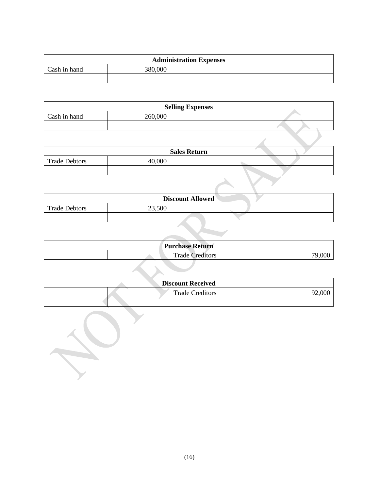| <b>Administration Expenses</b> |         |  |  |  |  |
|--------------------------------|---------|--|--|--|--|
| Cash in hand                   | 380,000 |  |  |  |  |
|                                |         |  |  |  |  |

| <b>Selling Expenses</b> |         |  |  |  |
|-------------------------|---------|--|--|--|
| Cash in hand            | 260,000 |  |  |  |
|                         |         |  |  |  |

 $\mathbf{D}$ 

|                      |       | <b>Sales Return</b> |  |
|----------------------|-------|---------------------|--|
| <b>Trade Debtors</b> | 0.000 |                     |  |
|                      |       |                     |  |

| <b>Discount Allowed</b> |        |  |  |  |  |
|-------------------------|--------|--|--|--|--|
| <b>Trade Debtors</b>    | 23,500 |  |  |  |  |
|                         |        |  |  |  |  |

| <b>Purchase Return</b> |  |                                    |                  |  |
|------------------------|--|------------------------------------|------------------|--|
|                        |  | $\mathbf{r}$<br>l'rade<br>reditors | .00 <sub>c</sub> |  |

| <b>Discount Received</b> |  |                        |  |  |  |
|--------------------------|--|------------------------|--|--|--|
|                          |  | <b>Trade Creditors</b> |  |  |  |
|                          |  |                        |  |  |  |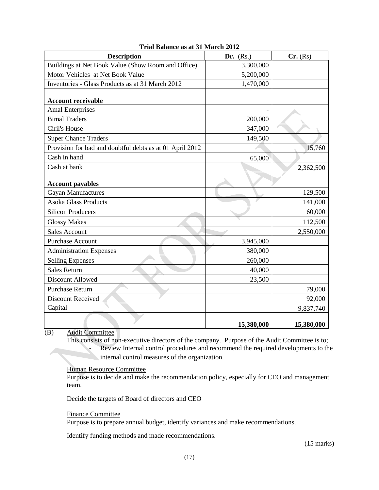| <b>Description</b>                                       | Dr. $(Rs.)$ | Cr. (Rs)   |
|----------------------------------------------------------|-------------|------------|
| Buildings at Net Book Value (Show Room and Office)       | 3,300,000   |            |
| Motor Vehicles at Net Book Value                         | 5,200,000   |            |
| Inventories - Glass Products as at 31 March 2012         | 1,470,000   |            |
| <b>Account receivable</b>                                |             |            |
| <b>Amal Enterprises</b>                                  |             |            |
| <b>Bimal Traders</b>                                     | 200,000     |            |
| Ciril's House                                            | 347,000     |            |
| <b>Super Chance Traders</b>                              | 149,500     |            |
| Provision for bad and doubtful debts as at 01 April 2012 |             | 15,760     |
| Cash in hand                                             | 65,000      |            |
| Cash at bank                                             |             | 2,362,500  |
| <b>Account payables</b>                                  |             |            |
| <b>Gayan Manufactures</b>                                |             | 129,500    |
| <b>Asoka Glass Products</b>                              |             | 141,000    |
| <b>Silicon Producers</b>                                 |             | 60,000     |
| <b>Glossy Makes</b>                                      |             | 112,500    |
| <b>Sales Account</b>                                     |             | 2,550,000  |
| <b>Purchase Account</b>                                  | 3,945,000   |            |
| <b>Administration Expenses</b>                           | 380,000     |            |
| <b>Selling Expenses</b>                                  | 260,000     |            |
| <b>Sales Return</b>                                      | 40,000      |            |
| Discount Allowed                                         | 23,500      |            |
| <b>Purchase Return</b>                                   |             | 79,000     |
| Discount Received                                        |             | 92,000     |
| Capital                                                  |             | 9,837,740  |
|                                                          | 15,380,000  | 15,380,000 |

#### **Trial Balance as at 31 March 2012**

(B) Audit Committee

This consists of non-executive directors of the company. Purpose of the Audit Committee is to; - Review Internal control procedures and recommend the required developments to the internal control measures of the organization.

Human Resource Committee

Purpose is to decide and make the recommendation policy, especially for CEO and management team.

Decide the targets of Board of directors and CEO

Finance Committee

Purpose is to prepare annual budget, identify variances and make recommendations.

Identify funding methods and made recommendations.